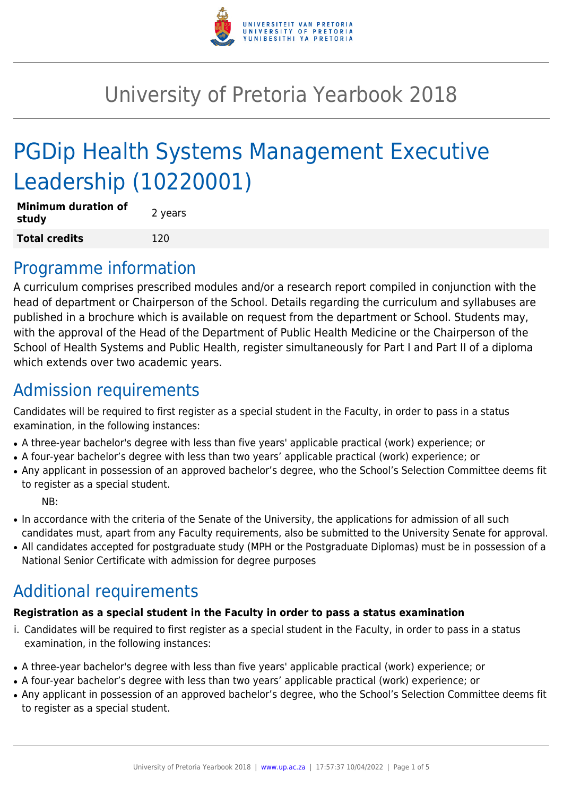

# University of Pretoria Yearbook 2018

# PGDip Health Systems Management Executive Leadership (10220001)

| <b>Minimum duration of</b><br>study | 2 years |
|-------------------------------------|---------|
| <b>Total credits</b>                | 120     |

## Programme information

A curriculum comprises prescribed modules and/or a research report compiled in conjunction with the head of department or Chairperson of the School. Details regarding the curriculum and syllabuses are published in a brochure which is available on request from the department or School. Students may, with the approval of the Head of the Department of Public Health Medicine or the Chairperson of the School of Health Systems and Public Health, register simultaneously for Part I and Part II of a diploma which extends over two academic years.

# Admission requirements

Candidates will be required to first register as a special student in the Faculty, in order to pass in a status examination, in the following instances:

- A three-year bachelor's degree with less than five years' applicable practical (work) experience; or
- A four-year bachelor's degree with less than two years' applicable practical (work) experience; or
- Any applicant in possession of an approved bachelor's degree, who the School's Selection Committee deems fit to register as a special student.

NB:

- In accordance with the criteria of the Senate of the University, the applications for admission of all such candidates must, apart from any Faculty requirements, also be submitted to the University Senate for approval.
- All candidates accepted for postgraduate study (MPH or the Postgraduate Diplomas) must be in possession of a National Senior Certificate with admission for degree purposes

# Additional requirements

#### **Registration as a special student in the Faculty in order to pass a status examination**

- i. Candidates will be required to first register as a special student in the Faculty, in order to pass in a status examination, in the following instances:
- A three-year bachelor's degree with less than five years' applicable practical (work) experience; or
- A four-year bachelor's degree with less than two years' applicable practical (work) experience; or
- Any applicant in possession of an approved bachelor's degree, who the School's Selection Committee deems fit to register as a special student.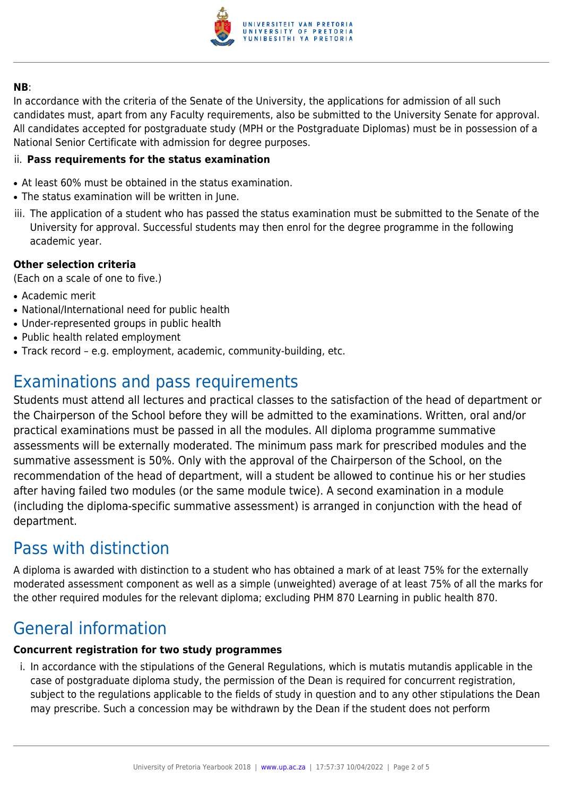

#### **NB**:

In accordance with the criteria of the Senate of the University, the applications for admission of all such candidates must, apart from any Faculty requirements, also be submitted to the University Senate for approval. All candidates accepted for postgraduate study (MPH or the Postgraduate Diplomas) must be in possession of a National Senior Certificate with admission for degree purposes.

#### ii. **Pass requirements for the status examination**

- At least 60% must be obtained in the status examination.
- The status examination will be written in June.
- iii. The application of a student who has passed the status examination must be submitted to the Senate of the University for approval. Successful students may then enrol for the degree programme in the following academic year.

#### **Other selection criteria**

(Each on a scale of one to five.)

- Academic merit
- National/International need for public health
- Under-represented groups in public health
- Public health related employment
- Track record e.g. employment, academic, community-building, etc.

# Examinations and pass requirements

Students must attend all lectures and practical classes to the satisfaction of the head of department or the Chairperson of the School before they will be admitted to the examinations. Written, oral and/or practical examinations must be passed in all the modules. All diploma programme summative assessments will be externally moderated. The minimum pass mark for prescribed modules and the summative assessment is 50%. Only with the approval of the Chairperson of the School, on the recommendation of the head of department, will a student be allowed to continue his or her studies after having failed two modules (or the same module twice). A second examination in a module (including the diploma-specific summative assessment) is arranged in conjunction with the head of department.

# Pass with distinction

A diploma is awarded with distinction to a student who has obtained a mark of at least 75% for the externally moderated assessment component as well as a simple (unweighted) average of at least 75% of all the marks for the other required modules for the relevant diploma; excluding PHM 870 Learning in public health 870.

## General information

#### **Concurrent registration for two study programmes**

i. In accordance with the stipulations of the General Regulations, which is mutatis mutandis applicable in the case of postgraduate diploma study, the permission of the Dean is required for concurrent registration, subject to the regulations applicable to the fields of study in question and to any other stipulations the Dean may prescribe. Such a concession may be withdrawn by the Dean if the student does not perform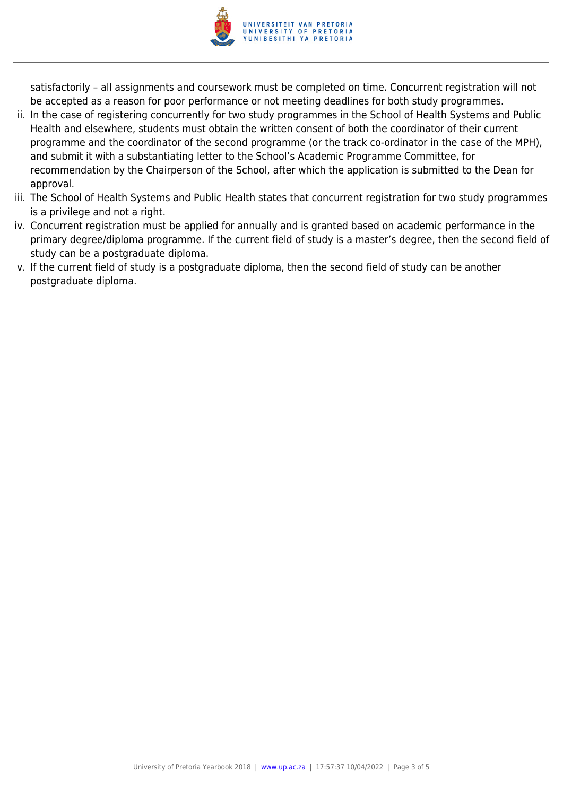

satisfactorily – all assignments and coursework must be completed on time. Concurrent registration will not be accepted as a reason for poor performance or not meeting deadlines for both study programmes.

- ii. In the case of registering concurrently for two study programmes in the School of Health Systems and Public Health and elsewhere, students must obtain the written consent of both the coordinator of their current programme and the coordinator of the second programme (or the track co-ordinator in the case of the MPH), and submit it with a substantiating letter to the School's Academic Programme Committee, for recommendation by the Chairperson of the School, after which the application is submitted to the Dean for approval.
- iii. The School of Health Systems and Public Health states that concurrent registration for two study programmes is a privilege and not a right.
- iv. Concurrent registration must be applied for annually and is granted based on academic performance in the primary degree/diploma programme. If the current field of study is a master's degree, then the second field of study can be a postgraduate diploma.
- v. If the current field of study is a postgraduate diploma, then the second field of study can be another postgraduate diploma.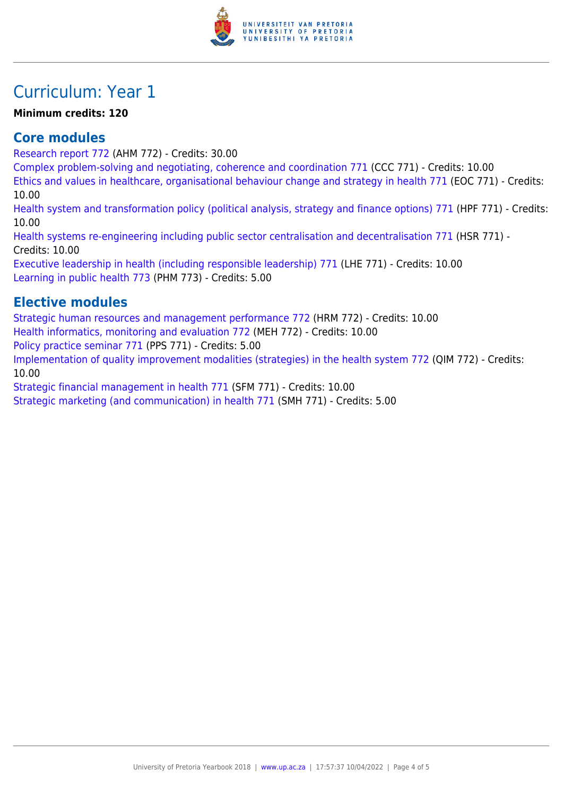

# Curriculum: Year 1

#### **Minimum credits: 120**

### **Core modules**

[Research report 772](https://www.up.ac.za/faculty-of-education/yearbooks/2018/modules/view/AHM 772) (AHM 772) - Credits: 30.00

[Complex problem-solving and negotiating, coherence and coordination 771](https://www.up.ac.za/faculty-of-education/yearbooks/2018/modules/view/CCC 771) (CCC 771) - Credits: 10.00

[Ethics and values in healthcare, organisational behaviour change and strategy in health 771](https://www.up.ac.za/faculty-of-education/yearbooks/2018/modules/view/EOC 771) (EOC 771) - Credits: 10.00

[Health system and transformation policy \(political analysis, strategy and finance options\) 771](https://www.up.ac.za/faculty-of-education/yearbooks/2018/modules/view/HPF 771) (HPF 771) - Credits: 10.00

[Health systems re-engineering including public sector centralisation and decentralisation 771](https://www.up.ac.za/faculty-of-education/yearbooks/2018/modules/view/HSR 771) (HSR 771) - Credits: 10.00

[Executive leadership in health \(including responsible leadership\) 771](https://www.up.ac.za/faculty-of-education/yearbooks/2018/modules/view/LHE 771) (LHE 771) - Credits: 10.00 [Learning in public health 773](https://www.up.ac.za/faculty-of-education/yearbooks/2018/modules/view/PHM 773) (PHM 773) - Credits: 5.00

### **Elective modules**

[Strategic human resources and management performance 772](https://www.up.ac.za/faculty-of-education/yearbooks/2018/modules/view/HRM 772) (HRM 772) - Credits: 10.00 [Health informatics, monitoring and evaluation 772](https://www.up.ac.za/faculty-of-education/yearbooks/2018/modules/view/MEH 772) (MEH 772) - Credits: 10.00 [Policy practice seminar 771](https://www.up.ac.za/faculty-of-education/yearbooks/2018/modules/view/PPS 771) (PPS 771) - Credits: 5.00 [Implementation of quality improvement modalities \(strategies\) in the health system 772](https://www.up.ac.za/faculty-of-education/yearbooks/2018/modules/view/QIM 772) (QIM 772) - Credits: 10.00

[Strategic financial management in health 771](https://www.up.ac.za/faculty-of-education/yearbooks/2018/modules/view/SFM 771) (SFM 771) - Credits: 10.00

[Strategic marketing \(and communication\) in health 771](https://www.up.ac.za/faculty-of-education/yearbooks/2018/modules/view/SMH 771) (SMH 771) - Credits: 5.00